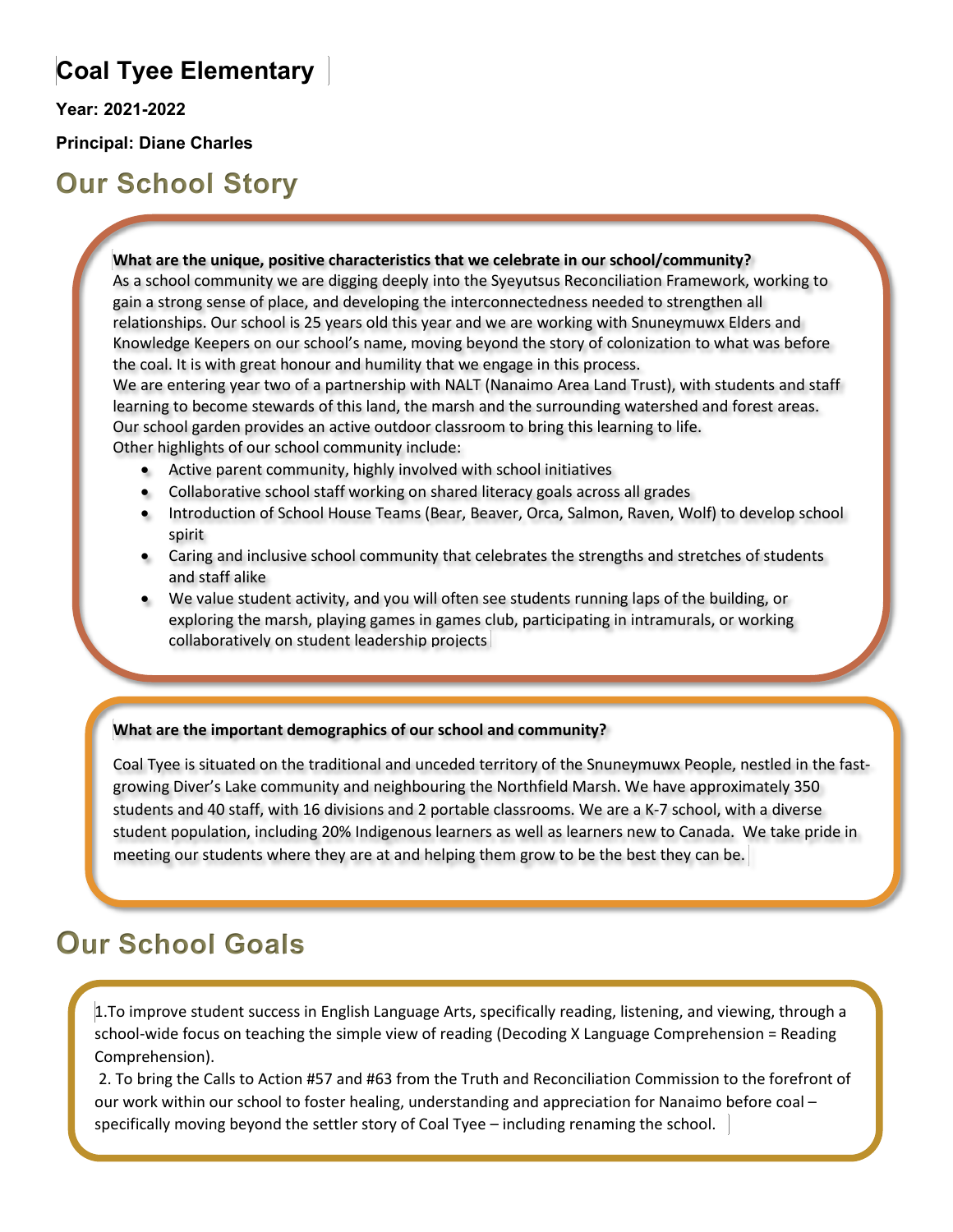### **Coal Tyee Elementary**

**Year: 2021-2022**

**Principal: Diane Charles**

**Our School Story**

#### **What are the unique, positive characteristics that we celebrate in our school/community?**

As a school community we are digging deeply into the Syeyutsus Reconciliation Framework, working to gain a strong sense of place, and developing the interconnectedness needed to strengthen all relationships. Our school is 25 years old this year and we are working with Snuneymuwx Elders and Knowledge Keepers on our school's name, moving beyond the story of colonization to what was before the coal. It is with great honour and humility that we engage in this process.

We are entering year two of a partnership with NALT (Nanaimo Area Land Trust), with students and staff learning to become stewards of this land, the marsh and the surrounding watershed and forest areas. Our school garden provides an active outdoor classroom to bring this learning to life.

Other highlights of our school community include:

- Active parent community, highly involved with school initiatives
- Collaborative school staff working on shared literacy goals across all grades
- Introduction of School House Teams (Bear, Beaver, Orca, Salmon, Raven, Wolf) to develop school spirit
- Caring and inclusive school community that celebrates the strengths and stretches of students and staff alike
- We value student activity, and you will often see students running laps of the building, or exploring the marsh, playing games in games club, participating in intramurals, or working collaboratively on student leadership projects

### **What are the important demographics of our school and community?**

Coal Tyee is situated on the traditional and unceded territory of the Snuneymuwx People, nestled in the fastgrowing Diver's Lake community and neighbouring the Northfield Marsh. We have approximately 350 students and 40 staff, with 16 divisions and 2 portable classrooms. We are a K-7 school, with a diverse student population, including 20% Indigenous learners as well as learners new to Canada. We take pride in meeting our students where they are at and helping them grow to be the best they can be.

## **Our School Goals**

1.To improve student success in English Language Arts, specifically reading, listening, and viewing, through a school-wide focus on teaching the simple view of reading (Decoding X Language Comprehension = Reading Comprehension).

2. To bring the Calls to Action #57 and #63 from the Truth and Reconciliation Commission to the forefront of our work within our school to foster healing, understanding and appreciation for Nanaimo before coal – specifically moving beyond the settler story of Coal Tyee – including renaming the school.